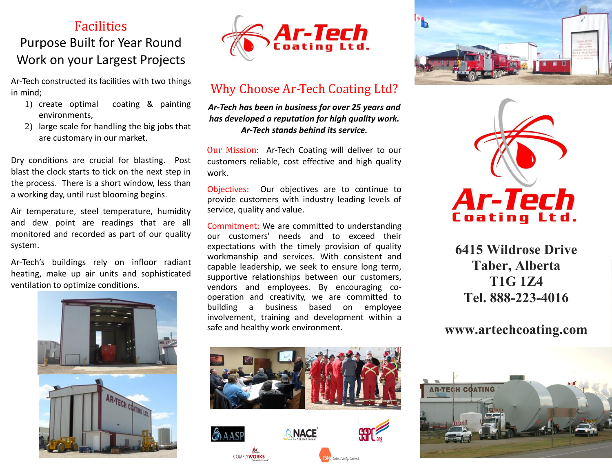# **Facilities** Purpose Built for Year Round Work on your Largest Projects

Ar-Tech constructed its facilities with two things in mind;

- 1) create optimal coating & painting environments,
- 2) large scale for handling the big jobs that are customary in our market.

Dry conditions are crucial for blasting. Post blast the clock starts to tick on the next step in the process. There is a short window, less than a working day, until rust blooming begins.

Air temperature, steel temperature, humidity and dew point are readings that are all monitored and recorded as part of our quality system.

Ar-Tech's buildings rely on infloor radiant heating, make up air units and sophisticated ventilation to optimize conditions.





### Why Choose Ar-Tech Coating Ltd?

*Ar-Tech has been in business for over 25 years and has developed a reputation for high quality work. Ar-Tech stands behind its service.*

Our Mission: Ar-Tech Coating will deliver to our customers reliable, cost effective and high quality work.

Objectives: Our objectives are to continue to provide customers with industry leading levels of service, quality and value.

Commitment: We are committed to understanding our customers' needs and to exceed their expectations with the timely provision of quality workmanship and services. With consistent and capable leadership, we seek to ensure long term, supportive relationships between our customers, vendors and employees. By encouraging cooperation and creativity, we are committed to building a business based on employee involvement, training and development within a safe and healthy work environment.







**6415 Wildrose Drive Taber, Alberta T1G 1Z4 Tel. 888-223-4016**

#### **www.artechcoating.com**